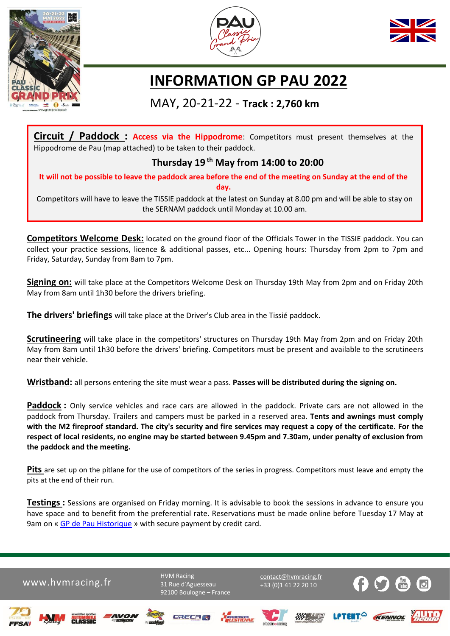





## **INFORMATION GP PAU 2022**

## MAY, 20-21-22 - **Track : 2,760 km**

**Circuit / Paddock : Access via the Hippodrome**: Competitors must present themselves at the Hippodrome de Pau (map attached) to be taken to their paddock.

## **Thursday 19 th May from 14:00 to 20:00**

**It will not be possible to leave the paddock area before the end of the meeting on Sunday at the end of the day.** 

Competitors will have to leave the TISSIE paddock at the latest on Sunday at 8.00 pm and will be able to stay on the SERNAM paddock until Monday at 10.00 am.

**Competitors Welcome Desk:** located on the ground floor of the Officials Tower in the TISSIE paddock. You can collect your practice sessions, licence & additional passes, etc... Opening hours: Thursday from 2pm to 7pm and Friday, Saturday, Sunday from 8am to 7pm.

**Signing on:** will take place at the Competitors Welcome Desk on Thursday 19th May from 2pm and on Friday 20th May from 8am until 1h30 before the drivers briefing.

**The drivers' briefings** will take place at the Driver's Club area in the Tissié paddock.

**Scrutineering** will take place in the competitors' structures on Thursday 19th May from 2pm and on Friday 20th May from 8am until 1h30 before the drivers' briefing. Competitors must be present and available to the scrutineers near their vehicle.

**Wristband:** all persons entering the site must wear a pass. **Passes will be distributed during the signing on.**

**Paddock :** Only service vehicles and race cars are allowed in the paddock. Private cars are not allowed in the paddock from Thursday. Trailers and campers must be parked in a reserved area. **Tents and awnings must comply with the M2 fireproof standard. The city's security and fire services may request a copy of the certificate. For the respect of local residents, no engine may be started between 9.45pm and 7.30am, under penalty of exclusion from the paddock and the meeting.**

**Pits** are set up on the pitlane for the use of competitors of the series in progress. Competitors must leave and empty the pits at the end of their run.

**Testings :** Sessions are organised on Friday morning. It is advisable to book the sessions in advance to ensure you have space and to benefit from the preferential rate. Reservations must be made online before Tuesday 17 May at 9am on « [GP de Pau Historique](https://www.hvmracing.fr/evenements/pau-motors-festival/) » with secure payment by credit card.

www.hvmracing.fr [contact@hvmracing.fr](mailto:contact@hvmracing.fr)

**HVM Racing** 31 Rue d'Aguesseau 92100 Boulogne – France +33 (0)1 41 22 20 10